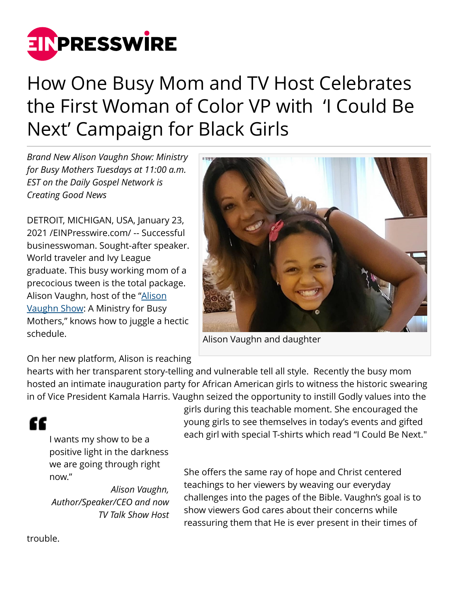

## How One Busy Mom and TV Host Celebrates the First Woman of Color VP with 'I Could Be Next' Campaign for Black Girls

*Brand New Alison Vaughn Show: Ministry for Busy Mothers Tuesdays at 11:00 a.m. EST on the Daily Gospel Network is Creating Good News*

DETROIT, MICHIGAN, USA, January 23, 2021 /[EINPresswire.com](http://www.einpresswire.com)/ -- Successful businesswoman. Sought-after speaker. World traveler and Ivy League graduate. This busy working mom of a precocious tween is the total package. Alison Vaughn, host of the ["Alison](https://www.alisonvaughn.com/media-press/) [Vaughn Show:](https://www.alisonvaughn.com/media-press/) A Ministry for Busy Mothers," knows how to juggle a hectic schedule.



Alison Vaughn and daughter

On her new platform, Alison is reaching

hearts with her transparent story-telling and vulnerable tell all style. Recently the busy mom hosted an intimate inauguration party for African American girls to witness the historic swearing in of Vice President Kamala Harris. Vaughn seized the opportunity to instill Godly values into the

## "

I wants my show to be a positive light in the darkness we are going through right now."

*Alison Vaughn, Author/Speaker/CEO and now TV Talk Show Host*

girls during this teachable moment. She encouraged the young girls to see themselves in today's events and gifted each girl with special T-shirts which read "I Could Be Next."

She offers the same ray of hope and Christ centered teachings to her viewers by weaving our everyday challenges into the pages of the Bible. Vaughn's goal is to show viewers God cares about their concerns while reassuring them that He is ever present in their times of

trouble.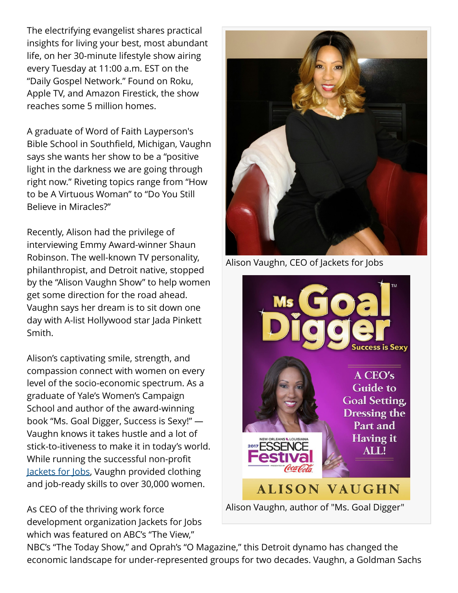The electrifying evangelist shares practical insights for living your best, most abundant life, on her 30-minute lifestyle show airing every Tuesday at 11:00 a.m. EST on the "Daily Gospel Network." Found on Roku, Apple TV, and Amazon Firestick, the show reaches some 5 million homes.

A graduate of Word of Faith Layperson's Bible School in Southfield, Michigan, Vaughn says she wants her show to be a "positive light in the darkness we are going through right now." Riveting topics range from "How to be A Virtuous Woman" to "Do You Still Believe in Miracles?"

Recently, Alison had the privilege of interviewing Emmy Award-winner Shaun Robinson. The well-known TV personality, philanthropist, and Detroit native, stopped by the "Alison Vaughn Show" to help women get some direction for the road ahead. Vaughn says her dream is to sit down one day with A-list Hollywood star Jada Pinkett Smith.

Alison's captivating smile, strength, and compassion connect with women on every level of the socio-economic spectrum. As a graduate of Yale's Women's Campaign School and author of the award-winning book "Ms. Goal Digger, Success is Sexy!" — Vaughn knows it takes hustle and a lot of stick-to-itiveness to make it in today's world. While running the successful non-profit [Jackets for Jobs](https://www.youtube.com/watch?v=7iUX-2M7VDQ&feature=emb_title), Vaughn provided clothing and job-ready skills to over 30,000 women.

As CEO of the thriving work force development organization Jackets for Jobs which was featured on ABC's "The View,"



Alison Vaughn, CEO of Jackets for Jobs



Alison Vaughn, author of "Ms. Goal Digger"

NBC's "The Today Show," and Oprah's "O Magazine," this Detroit dynamo has changed the economic landscape for under-represented groups for two decades. Vaughn, a Goldman Sachs